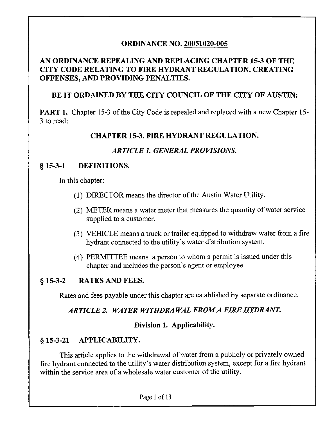## ORDINANCE NO. 20051020-005

## AN ORDINANCE REPEALING AND REPLACING CHAPTER 15-3 OF THE CITY CODE RELATING TO FIRE HYDRANT REGULATION, CREATING OFFENSES, AND PROVIDING PENALTIES.

### BE IT ORDAINED BY THE CITY COUNCIL OF THE CITY OF AUSTIN:

PART 1. Chapter 15-3 of the City Code is repealed and replaced with a new Chapter 15-3 to read:

### CHAPTER 15-3. FIRE HYDRANT REGULATION.

### ARTICLE 1. GENERAL PROVISIONS.

#### § 15-3-1 DEFINITIONS.

In this chapter:

- (1) DIRECTOR means the director of the Austin Water Utility.
- (2) METER means a water meter that measures the quantity of water service supplied to a customer.
- (3) VEHICLE means a truck or trailer equipped to withdraw water from a fire hydrant connected to the utility's water distribution system.
- (4) PERMITTEE means a person to whom a permit is issued under this chapter and includes the person's agent or employee.

#### § 15-3-2 RATES AND FEES.

Rates and fees payable under this chapter are established by separate ordinance.

### ARTICLE 2. WATER WITHDRAWAL FROM A FIRE HYDRANT.

#### Division 1. Applicability.

### § 15-3-21 APPLICABILITY.

This article applies to the withdrawal of water from a publicly or privately owned fire hydrant connected to the utility's water distribution system, except for a fire hydrant within the service area of a wholesale water customer of the utility.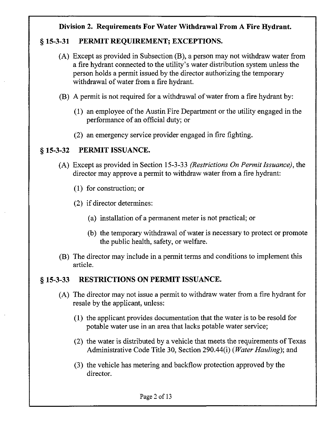### Division 2. Requirements For Water Withdrawal From A Fire Hydrant.

### § 15-3-31 PERMIT REQUIREMENT; EXCEPTIONS.

- (A) Except as provided in Subsection (B), a person may not withdraw water from a fire hydrant connected to the utility's water distribution system unless the person holds a permit issued by the director authorizing the temporary withdrawal of water from a fire hydrant.
- (B) A permit is not required for a withdrawal of water from a fire hydrant by:
	- (1) an employee of the Austin Fire Department or the utility engaged in the performance of an official duty; or
	- (2) an emergency service provider engaged in fire fighting.

#### § 15-3-32 PERMIT ISSUANCE.

- (A) Except as provided in Section 15-3-33 (Restrictions On Permit Issuance), the director may approve a permit to withdraw water from a fire hydrant:
	- (1) for construction; or
	- (2) if director determines:
		- (a) installation of a permanent meter is not practical; or
		- (b) the temporary withdrawal of water is necessary to protect or promote the public health, safety, or welfare.
- (B) The director may include in a permit terms and conditions to implement this article.

### § 15-3-33 RESTRICTIONS ON PERMIT ISSUANCE.

- (A) The director may not issue a permit to withdraw water from a fire hydrant for resale by the applicant, unless:
	- (1) the applicant provides documentation that the water is to be resold for potable water use in an area that lacks potable water service;
	- (2) the water is distributed by a vehicle that meets the requirements of Texas Administrative Code Title 30, Section 290.44(i) (Water Hauling); and
	- (3) the vehicle has metering and backflow protection approved by the director.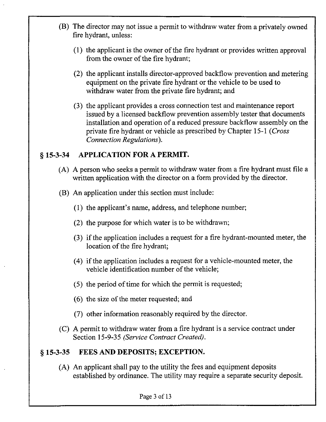- (B) The director may not issue a permit to withdraw water from a privately owned fire hydrant, unless:
	- (1) the applicant is the owner of the fire hydrant or provides written approval from the owner of the fire hydrant;
	- (2) the applicant installs director-approved backflow prevention and metering equipment on the private fire hydrant or the vehicle to be used to withdraw water from the private fire hydrant; and
	- (3) the applicant provides a cross connection test and maintenance report issued by a licensed backflow prevention assembly tester that documents installation and operation of a reduced pressure backflow assembly on the private fire hydrant or vehicle as prescribed by Chapter 15-1 (Cross Connection Regulations).

#### § 15-3-34 APPLICATION FOR A PERMIT.

- (A) A person who seeks a permit to withdraw water from a fire hydrant must file a written application with the director on a form provided by the director.
- (B) An application under this section must include:
	- (1) the applicant's name, address, and telephone number;
	- (2) the purpose for which water is to be withdrawn;
	- (3) if the application includes a request for a fire hydrant-mounted meter, the location of the fire hydrant;
	- (4) if the application includes a request for a vehicle-mounted meter, the vehicle identification number of the vehicle;
	- (5) the period of time for which the permit is requested;
	- (6) the size of the meter requested; and
	- (7) other information reasonably required by the director.
- (C) A permit to withdraw water from a fire hydrant is a service contract under Section 15-9-35 (Service Contract Created).

#### § 15-3-35 FEES AND DEPOSITS; EXCEPTION.

(A) An applicant shall pay to the utility the fees and equipment deposits established by ordinance. The utility may require a separate security deposit.

Page 3 of 13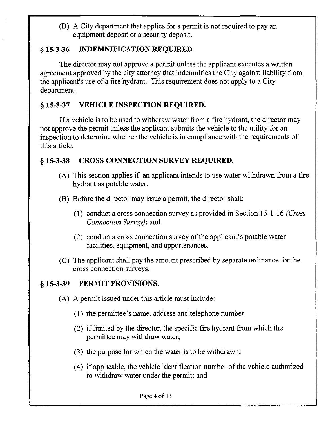(B) A City department that applies for a permit is not required to pay an equipment deposit or a security deposit.

## § 15-3-36 INDEMNIFICATION REQUIRED.

The director may not approve a permit unless the applicant executes a written agreement approved by the city attorney that indemnifies the City against liability from the applicant's use of a fire hydrant. This requirement does not apply to a City department.

## § 15-3-37 VEHICLE INSPECTION REQUIRED.

If a vehicle is to be used to withdraw water from a fire hydrant, the director may not approve the permit unless the applicant submits the vehicle to the utility for an inspection to determine whether the vehicle is in compliance with the requirements of this article.

## § 15-3-38 CROSS CONNECTION SURVEY REQUIRED.

- (A) This section applies if an applicant intends to use water withdrawn from a fire hydrant as potable water.
- (B) Before the director may issue a permit, the director shall:
	- (1) conduct a cross connection survey as provided in Section 15-1-16 (Cross Connection Survey); and
	- (2) conduct a cross connection survey of the applicant's potable water facilities, equipment, and appurtenances.
- (C) The applicant shall pay the amount prescribed by separate ordinance for the cross connection surveys.

## § 15-3-39 PERMIT PROVISIONS.

- (A) A permit issued under this article must include:
	- (1) the permittee's name, address and telephone number;
	- (2) if limited by the director, the specific fire hydrant from which the permittee may withdraw water;
	- (3) the purpose for which the water is to be withdrawn;
	- (4) if applicable, the vehicle identification number of the vehicle authorized to withdraw water under the permit; and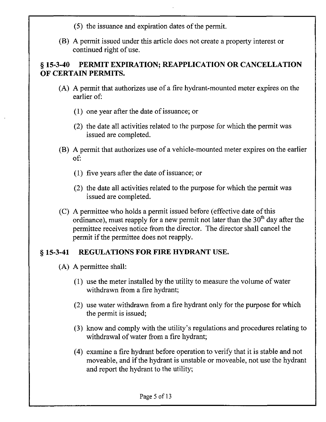- (5) the issuance and expiration dates of the permit.
- (B) A permit issued under this article does not create a property interest or continued right of use.

# § 15-3-40 PERMIT EXPIRATION; REAPPLICATION OR CANCELLATION OF CERTAIN PERMITS.

- (A) A permit that authorizes use of a fire hydrant-mounted meter expires on the earlier of:
	- (1) one year after the date of issuance; or
	- (2) the date all activities related to the purpose for which the permit was issued are completed.
- (B) A permit that authorizes use of a vehicle-mounted meter expires on the earlier of:
	- (1) five years after the date of issuance; or
	- (2) the date all activities related to the purpose for which the permit was issued are completed.
- (C) A permittee who holds a permit issued before (effective date of this ordinance), must reapply for a new permit not later than the  $30<sup>th</sup>$  day after the permittee receives notice from the director. The director shall cancel the permit if the permittee does not reapply.

# § 15-3-41 REGULATIONS FOR FIRE HYDRANT USE.

- (A) A permittee shall:
	- (1) use the meter installed by the utility to measure the volume of water withdrawn from a fire hydrant;
	- (2) use water withdrawn from a fire hydrant only for the purpose for which the permit is issued;
	- (3) know and comply with the utility's regulations and procedures relating to withdrawal of water from a fire hydrant;
	- (4) examine a fire hydrant before operation to verify that it is stable and not moveable, and if the hydrant is unstable or moveable, not use the hydrant and report the hydrant to the utility;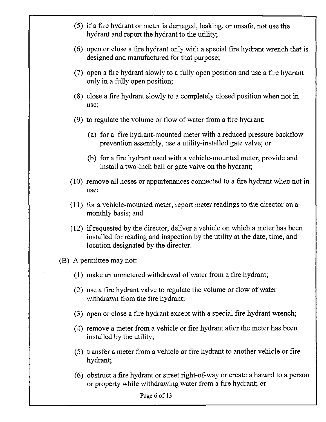- (5) if a fire hydrant or meter is damaged, leaking, or unsafe, not use the hydrant and report the hydrant to the utility;
- (6) open or close a fire hydrant only with a special fire hydrant wrench that is designed and manufactured for that purpose;
- (7) open a fire hydrant slowly to a fully open position and use a fire hydrant only in a fully open position;
- (8) close a fire hydrant slowly to a completely closed position when not in use;
- (9) to regulate the volume or flow of water from a fire hydrant:
	- (a) for a fire hydrant-mounted meter with a reduced pressure backflow prevention assembly, use a utility-installed gate valve; or
	- (b) for a fire hydrant used with a vehicle-mounted meter, provide and install a two-inch ball or gate valve on the hydrant;
- (10) remove all hoses or appurtenances connected to a fire hydrant when not in use;
- (11) for a vehicle-mounted meter, report meter readings to the director on a monthly basis; and
- (12) if requested by the director, deliver a vehicle on which a meter has been installed for reading and inspection by the utility at the date, time, and location designated by the director.
- (B) A permittee may not:
	- (1) make an unmetered withdrawal of water from a fire hydrant;
	- (2) use a fire hydrant valve to regulate the volume or flow of water withdrawn from the fire hydrant;
	- (3) open or close a fire hydrant except with a special fire hydrant wrench;
	- (4) remove a meter from a vehicle or fire hydrant after the meter has been installed by the utility;
	- (5) transfer a meter from a vehicle or fire hydrant to another vehicle or fire hydrant;
	- (6) obstruct a fire hydrant or street right-of-way or create a hazard to a person or property while withdrawing water from a fire hydrant; or

Page 6 of 13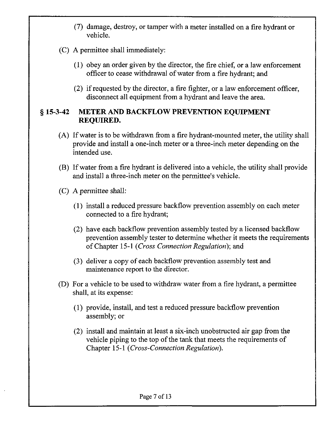- (7) damage, destroy, or tamper with a meter installed on a fire hydrant or vehicle.
- (C) A permittee shall immediately:
	- (1) obey an order given by the director, the fire chief, or a law enforcement officer to cease withdrawal of water from a fire hydrant; and
	- (2) if requested by the director, a fire fighter, or a law enforcement officer, disconnect all equipment from a hydrant and leave the area.

### § 15-3-42 METER AND BACKFLOW PREVENTION EQUIPMENT REQUIRED.

- (A) If water is to be withdrawn from a fire hydrant-mounted meter, the utility shall provide and install a one-inch meter or a three-inch meter depending on the intended use.
- (B) If water from a fire hydrant is delivered into a vehicle, the utility shall provide and install a three-inch meter on the permittee's vehicle.
- (C) A permittee shall:
	- (1) install a reduced pressure backflow prevention assembly on each meter connected to a fire hydrant;
	- (2) have each backflow prevention assembly tested by a licensed backflow prevention assembly tester to determine whether it meets the requirements of Chapter 15-1 (Cross Connection Regulation}; and
	- (3) deliver a copy of each backflow prevention assembly test and maintenance report to the director.
- (D) For a vehicle to be used to withdraw water from a fire hydrant, a permittee shall, at its expense:
	- (1) provide, install, and test a reduced pressure backflow prevention assembly; or
	- (2) install and maintain at least a six-inch unobstructed air gap from the vehicle piping to the top of the tank that meets the requirements of Chapter 15-1 (Cross-Connection Regulation).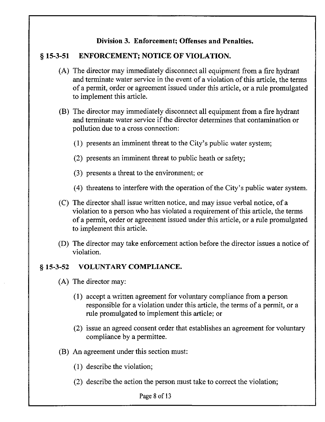### Division 3. Enforcement; Offenses and Penalties.

## § 15-3-51 ENFORCEMENT; NOTICE OF VIOLATION.

- (A) The director may immediately disconnect all equipment from a fire hydrant and terminate water service in the event of a violation of this article, the terms of a permit, order or agreement issued under this article, or a rule promulgated to implement this article.
- (B) The director may immediately disconnect all equipment from a fire hydrant and terminate water service if the director determines that contamination or pollution due to a cross connection:
	- (1) presents an imminent threat to the City's public water system;
	- (2) presents an imminent threat to public heath or safety;
	- (3) presents a threat to the environment; or
	- (4) threatens to interfere with the operation of the City's public water system.
- (C) The director shall issue written notice, and may issue verbal notice, of a violation to a person who has violated a requirement of this article, the terms of a permit, order or agreement issued under this article, or a rule promulgated to implement this article.
- (D) The director may take enforcement action before the director issues a notice of violation.

#### § 15-3-52 VOLUNTARY COMPLIANCE.

- (A) The director may:
	- (1) accept a written agreement for voluntary compliance from a person responsible for a violation under this article, the terms of a permit, or a rule promulgated to implement this article; or
	- (2) issue an agreed consent order that establishes an agreement for voluntary compliance by a permittee.
- (B) An agreement under this section must:
	- (1) describe the violation;
	- (2) describe the action the person must take to correct the violation;

Page 8 of 13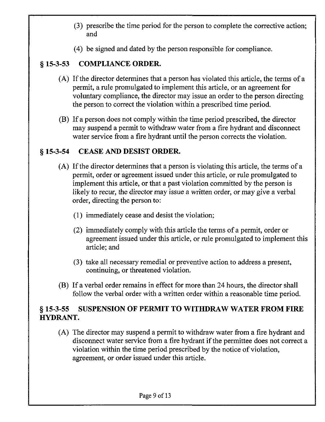- (3) prescribe the time period for the person to complete the corrective action; and
- (4) be signed and dated by the person responsible for compliance.

## § 15-3-53 COMPLIANCE ORDER.

- (A) If the director determines that a person has violated this article, the terms of a permit, a rule promulgated to implement this article, or an agreement for voluntary compliance, the director may issue an order to the person directing the person to correct the violation within a prescribed time period.
- (B) If a person does not comply within the time period prescribed, the director may suspend a permit to withdraw water from a fire hydrant and disconnect water service from a fire hydrant until the person corrects the violation.

### § 15-3-54 CEASE AND DESIST ORDER.

- (A) If the director determines that a person is violating this article, the terms of a permit, order or agreement issued under this article, or rule promulgated to implement this article, or that a past violation committed by the person is likely to recur, the director may issue a written order, or may give a verbal order, directing the person to:
	- (1) immediately cease and desist the violation;
	- (2) immediately comply with this article the terms of a permit, order or agreement issued under this article, or rule promulgated to implement this article; and
	- (3) take all necessary remedial or preventive action to address a present, continuing, or threatened violation.
- (B) If a verbal order remains in effect for more than 24 hours, the director shall follow the verbal order with a written order within a reasonable time period.

## § 15-3-55 SUSPENSION OF PERMIT TO WITHDRAW WATER FROM FIRE HYDRANT.

(A) The director may suspend a permit to withdraw water from a fire hydrant and disconnect water service from a fire hydrant if the permittee does not correct a violation within the time period prescribed by the notice of violation, agreement, or order issued under this article.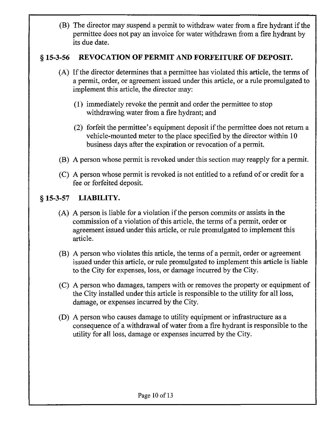(B) The director may suspend a permit to withdraw water from a fire hydrant if the permittee does not pay an invoice for water withdrawn from a fire hydrant by its due date.

## § 15-3-56 REVOCATION OF PERMIT AND FORFEITURE OF DEPOSIT.

- (A) If the director determines that a permittee has violated this article, the terms of a permit, order, or agreement issued under this article, or a rule promulgated to implement this article, the director may:
	- (1) immediately revoke the permit and order the permittee to stop withdrawing water from a fire hydrant; and
	- (2) forfeit the permittee's equipment deposit if the permittee does not return a vehicle-mounted meter to the place specified by the director within 10 business days after the expiration or revocation of a permit.
- (B) A person whose permit is revoked under this section may reapply for a permit.
- (C) A person whose permit is revoked is not entitled to a refund of or credit for a fee or forfeited deposit.

## § 15-3-57 LIABILITY.

- (A) A person is liable for a violation if the person commits or assists in the commission of a violation of this article, the terms of a permit, order or agreement issued under this article, or rule promulgated to implement this article.
- (B) A person who violates this article, the terms of a permit, order or agreement issued under this article, or rule promulgated to implement this article is liable to the City for expenses, loss, or damage incurred by the City.
- (C) A person who damages, tampers with or removes the property or equipment of the City installed under this article is responsible to the utility for all loss, damage, or expenses incurred by the City.
- (D) A person who causes damage to utility equipment or infrastructure as a consequence of a withdrawal of water from a fire hydrant is responsible to the utility for all loss, damage or expenses incurred by the City.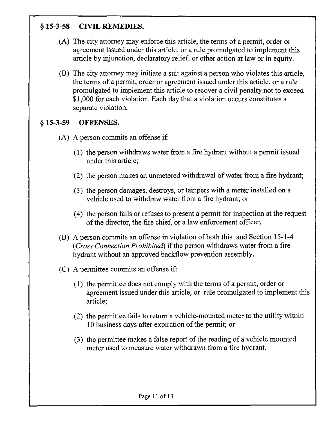# § 15-3-58 CIVIL REMEDIES.

- (A) The city attorney may enforce this article, the terms of a permit, order or agreement issued under this article, or a rule promulgated to implement this article by injunction, declaratory relief, or other action at law or in equity.
- (B) The city attorney may initiate a suit against a person who violates this article, the terms of a permit, order or agreement issued under this article, or a rule promulgated to implement this article to recover a civil penalty not to exceed \$1,000 for each violation. Each day that a violation occurs constitutes a separate violation.

### § 15-3-59 OFFENSES.

- (A) A person commits an offense if:
	- (1) the person withdraws water from a fire hydrant without a permit issued under this article;
	- (2) the person makes an unmetered withdrawal of water from a fire hydrant;
	- (3) the person damages, destroys, or tampers with a meter installed on a vehicle used to withdraw water from a fire hydrant; or
	- (4) the person fails or refuses to present a permit for inspection at the request of the director, the fire chief, or a law enforcement officer.
- (B) A person commits an offense in violation of both this and Section 15-1-4 (Cross Connection Prohibited) if the person withdraws water from a fire hydrant without an approved backflow prevention assembly.
- (C) A permittee commits an offense if:
	- (1) the permittee does not comply with the terms of a permit, order or agreement issued under this article, or rule promulgated to implement this article;
	- (2) the permittee fails to return a vehicle-mounted meter to the utility within 10 business days after expiration of the permit; or
	- (3) the permittee makes a false report of the reading of a vehicle mounted meter used to measure water withdrawn from a fire hydrant.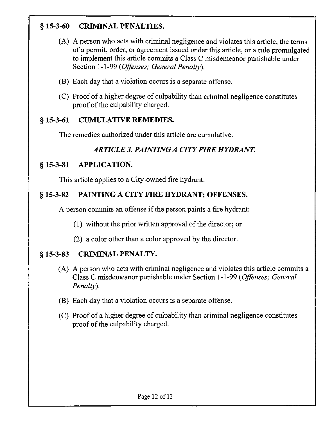# § 15-3-60 CRIMINAL PENALTIES.

- (A) A person who acts with criminal negligence and violates this article, the terms of a permit, order, or agreement issued under this article, or a rule promulgated to implement this article commits a Class C misdemeanor punishable under Section 1-1-99 (Offenses; General Penalty).
- (B) Each day that a violation occurs is a separate offense.
- (C) Proof of a higher degree of culpability than criminal negligence constitutes proof of the culpability charged.

## § 15-3-61 CUMULATIVE REMEDIES.

The remedies authorized under this article are cumulative.

# ARTICLE 3. PAINTING A CITY FIRE HYDRANT.

# § 15-3-81 APPLICATION.

This article applies to a City-owned fire hydrant.

# § 15-3-82 PAINTING A CITY FIRE HYDRANT; OFFENSES.

A person commits an offense if the person paints a fire hydrant:

- (1) without the prior written approval of the director; or
- (2) a color other than a color approved by the director.

# § 15-3-83 CRIMINAL PENALTY.

- (A) A person who acts with criminal negligence and violates this article commits a Class C misdemeanor punishable under Section 1-1-99 (Offenses: General Penalty).
- (B) Each day that a violation occurs is a separate offense.
- (C) Proof of a higher degree of culpability than criminal negligence constitutes proof of the culpability charged.